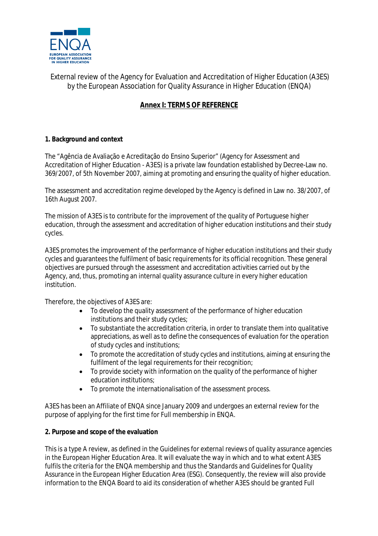

External review of the Agency for Evaluation and Accreditation of Higher Education (A3ES) by the European Association for Quality Assurance in Higher Education (ENQA)

# **Annex I: TERMS OF REFERENCE**

# **1. Background and context**

The "Agência de Avaliação e Acreditação do Ensino Superior" (Agency for Assessment and Accreditation of Higher Education - A3ES) is a private law foundation established by Decree-Law no. 369/2007, of 5th November 2007, aiming at promoting and ensuring the quality of higher education.

The assessment and accreditation regime developed by the Agency is defined in Law no. 38/2007, of 16th August 2007.

The mission of A3ES is to contribute for the improvement of the quality of Portuguese higher education, through the assessment and accreditation of higher education institutions and their study cycles.

A3ES promotes the improvement of the performance of higher education institutions and their study cycles and guarantees the fulfilment of basic requirements for its official recognition. These general objectives are pursued through the assessment and accreditation activities carried out by the Agency, and, thus, promoting an internal quality assurance culture in every higher education institution.

Therefore, the objectives of A3ES are:

- To develop the quality assessment of the performance of higher education institutions and their study cycles;
- To substantiate the accreditation criteria, in order to translate them into qualitative appreciations, as well as to define the consequences of evaluation for the operation of study cycles and institutions;
- To promote the accreditation of study cycles and institutions, aiming at ensuring the fulfilment of the legal requirements for their recognition;
- To provide society with information on the quality of the performance of higher education institutions;
- To promote the internationalisation of the assessment process.

A3ES has been an Affiliate of ENQA since January 2009 and undergoes an external review for the purpose of applying for the first time for Full membership in ENQA.

# **2. Purpose and scope of the evaluation**

This is a type A review, as defined in the *Guidelines for external reviews of quality assurance agencies in the European Higher Education Area.* It will evaluate the way in which and to what extent A3ES fulfils the criteria for the ENQA membership and thus the *Standards and Guidelines for Quality Assurance in the European Higher Education Area (ESG)*. Consequently, the review will also provide information to the ENQA Board to aid its consideration of whether A3ES should be granted Full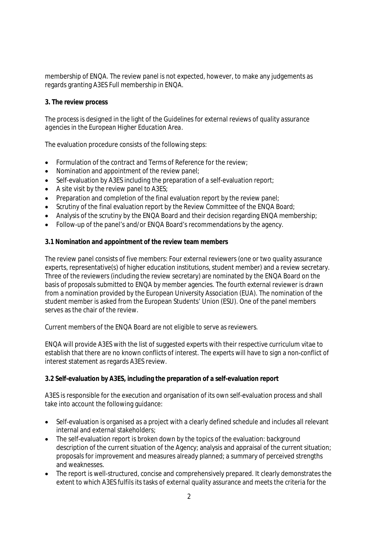membership of ENQA. The review panel is not expected, however, to make any judgements as regards granting A3ES Full membership in ENQA.

#### **3. The review process**

The process is designed in the light of the *Guidelines for external reviews of quality assurance agencies in the European Higher Education Area*.

The evaluation procedure consists of the following steps:

- Formulation of the contract and Terms of Reference for the review;
- Nomination and appointment of the review panel:
- Self-evaluation by A3ES including the preparation of a self-evaluation report;
- $\bullet$  A site visit by the review panel to A3ES;
- Preparation and completion of the final evaluation report by the review panel;
- Scrutiny of the final evaluation report by the Review Committee of the ENQA Board:
- Analysis of the scrutiny by the ENQA Board and their decision regarding ENQA membership;
- Follow-up of the panel's and/or ENQA Board's recommendations by the agency.

#### **3.1 Nomination and appointment of the review team members**

The review panel consists of five members: Four external reviewers (one or two quality assurance experts, representative(s) of higher education institutions, student member) and a review secretary. Three of the reviewers (including the review secretary) are nominated by the ENQA Board on the basis of proposals submitted to ENQA by member agencies. The fourth external reviewer is drawn from a nomination provided by the European University Association (EUA). The nomination of the student member is asked from the European Students' Union (ESU). One of the panel members serves as the chair of the review.

Current members of the ENQA Board are not eligible to serve as reviewers.

ENQA will provide A3ES with the list of suggested experts with their respective curriculum vitae to establish that there are no known conflicts of interest. The experts will have to sign a non-conflict of interest statement as regards A3ES review.

#### **3.2 Self-evaluation by A3ES, including the preparation of a self-evaluation report**

A3ES is responsible for the execution and organisation of its own self-evaluation process and shall take into account the following guidance:

- Self-evaluation is organised as a project with a clearly defined schedule and includes all relevant internal and external stakeholders;
- The self-evaluation report is broken down by the topics of the evaluation: background description of the current situation of the Agency; analysis and appraisal of the current situation; proposals for improvement and measures already planned; a summary of perceived strengths and weaknesses.
- The report is well-structured, concise and comprehensively prepared. It clearly demonstrates the extent to which A3ES fulfils its tasks of external quality assurance and meets the criteria for the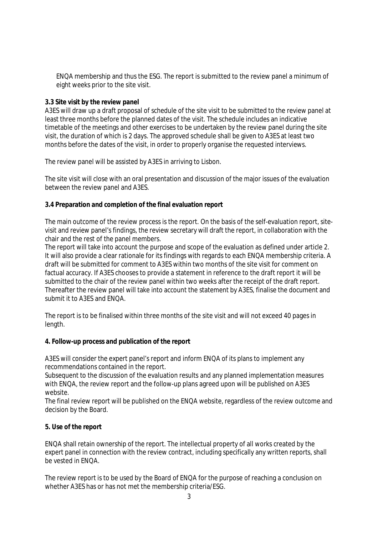ENQA membership and thus the ESG*.* The report is submitted to the review panel a minimum of eight weeks prior to the site visit.

#### **3.3 Site visit by the review panel**

A3ES will draw up a draft proposal of schedule of the site visit to be submitted to the review panel at least three months before the planned dates of the visit. The schedule includes an indicative timetable of the meetings and other exercises to be undertaken by the review panel during the site visit, the duration of which is 2 days. The approved schedule shall be given to A3ES at least two months before the dates of the visit, in order to properly organise the requested interviews.

The review panel will be assisted by A3ES in arriving to Lisbon.

The site visit will close with an oral presentation and discussion of the major issues of the evaluation between the review panel and A3ES.

# **3.4 Preparation and completion of the final evaluation report**

The main outcome of the review process is the report. On the basis of the self-evaluation report, sitevisit and review panel's findings, the review secretary will draft the report, in collaboration with the chair and the rest of the panel members.

The report will take into account the purpose and scope of the evaluation as defined under article 2. It will also provide a clear rationale for its findings with regards to each ENQA membership criteria. A draft will be submitted for comment to A3ES within two months of the site visit for comment on factual accuracy. If A3ES chooses to provide a statement in reference to the draft report it will be submitted to the chair of the review panel within two weeks after the receipt of the draft report. Thereafter the review panel will take into account the statement by A3ES, finalise the document and submit it to A3ES and ENQA.

The report is to be finalised within three months of the site visit and will not exceed 40 pages in length.

#### **4. Follow-up process and publication of the report**

A3ES will consider the expert panel's report and inform ENQA of its plans to implement any recommendations contained in the report.

Subsequent to the discussion of the evaluation results and any planned implementation measures with ENQA, the review report and the follow-up plans agreed upon will be published on A3ES website.

The final review report will be published on the ENQA website, regardless of the review outcome and decision by the Board.

# **5. Use of the report**

ENQA shall retain ownership of the report. The intellectual property of all works created by the expert panel in connection with the review contract, including specifically any written reports, shall be vested in ENQA.

The review report is to be used by the Board of ENQA for the purpose of reaching a conclusion on whether A3ES has or has not met the membership criteria/ESG.